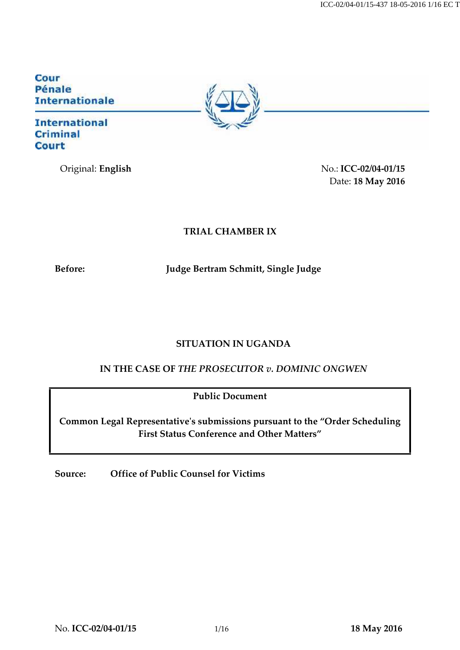Cour Pénale **Internationale** 

**International Criminal Court** 

Original: **English** No.: **ICC-02/04-01/15** Date: **18 May 2016**

# **TRIAL CHAMBER IX**

**Before: Judge Bertram Schmitt, Single Judge**

# **SITUATION IN UGANDA**

**IN THE CASE OF** *THE PROSECUTOR v. DOMINIC ONGWEN*

**Public Document**

**Common Legal Representative's submissions pursuant to the "Order Scheduling First Status Conference and Other Matters"**

**Source: Office of Public Counsel for Victims**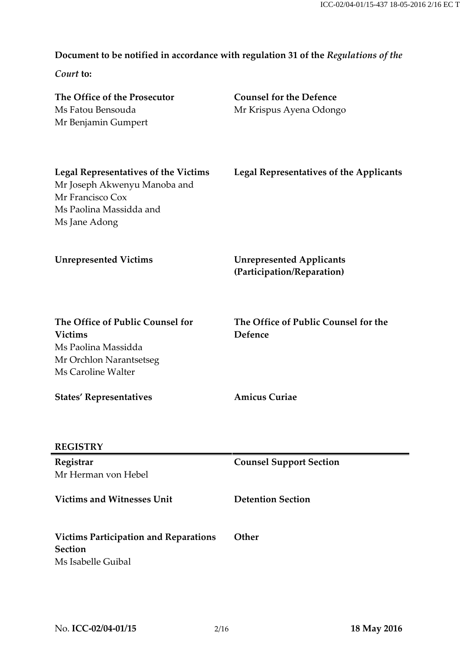# **Document to be notified in accordance with regulation 31 of the** *Regulations of the*

*Court* **to:**

| The Office of the Prosecutor<br>Ms Fatou Bensouda<br>Mr Benjamin Gumpert                                                                    | <b>Counsel for the Defence</b><br>Mr Krispus Ayena Odongo     |
|---------------------------------------------------------------------------------------------------------------------------------------------|---------------------------------------------------------------|
| <b>Legal Representatives of the Victims</b><br>Mr Joseph Akwenyu Manoba and<br>Mr Francisco Cox<br>Ms Paolina Massidda and<br>Ms Jane Adong | <b>Legal Representatives of the Applicants</b>                |
| <b>Unrepresented Victims</b>                                                                                                                | <b>Unrepresented Applicants</b><br>(Participation/Reparation) |
| The Office of Public Counsel for<br><b>Victims</b><br>Ms Paolina Massidda<br>Mr Orchlon Narantsetseg<br>Ms Caroline Walter                  | The Office of Public Counsel for the<br>Defence               |
| <b>States' Representatives</b>                                                                                                              | <b>Amicus Curiae</b>                                          |
| <b>REGISTRY</b>                                                                                                                             |                                                               |
| Registrar<br>Mr Herman von Hebel                                                                                                            | <b>Counsel Support Section</b>                                |
| <b>Victims and Witnesses Unit</b>                                                                                                           | <b>Detention Section</b>                                      |
| <b>Victims Participation and Reparations</b><br><b>Section</b><br>Ms Isabelle Guibal                                                        | Other                                                         |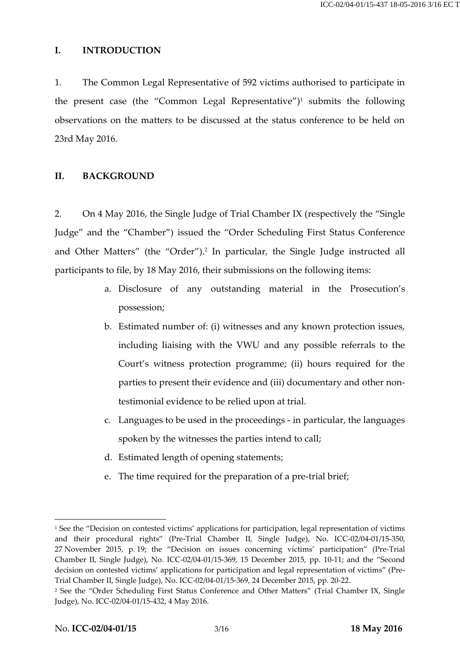#### **I. INTRODUCTION**

1. The Common Legal Representative of 592 victims authorised to participate in the present case (the "Common Legal Representative")<sup>1</sup> submits the following observations on the matters to be discussed at the status conference to be held on 23rd May 2016.

#### **II. BACKGROUND**

2. On 4 May 2016, the Single Judge of Trial Chamber IX (respectively the "Single Judge" and the "Chamber") issued the "Order Scheduling First Status Conference and Other Matters" (the "Order").<sup>2</sup> In particular, the Single Judge instructed all participants to file, by 18 May 2016, their submissions on the following items:

- a. Disclosure of any outstanding material in the Prosecution's possession;
- b. Estimated number of: (i) witnesses and any known protection issues, including liaising with the VWU and any possible referrals to the Court's witness protection programme; (ii) hours required for the parties to present their evidence and (iii) documentary and other nontestimonial evidence to be relied upon at trial.
- c. Languages to be used in the proceedings in particular, the languages spoken by the witnesses the parties intend to call;
- d. Estimated length of opening statements;
- e. The time required for the preparation of a pre-trial brief;

<sup>&</sup>lt;sup>1</sup> See the "Decision on contested victims' applications for participation, legal representation of victims and their procedural rights" (Pre-Trial Chamber II, Single Judge), No. ICC-02/04-01/15-350, 27 November 2015, p. 19; the "Decision on issues concerning victims' participation" (Pre-Trial Chamber II, Single Judge), No. ICC-02/04-01/15-369, 15 December 2015, pp. 10-11; and the "Second decision on contested victims' applications for participation and legal representation of victims" (Pre- Trial Chamber II, Single Judge), No. ICC-02/04-01/15-369, 24 December 2015, pp. 20-22.

<sup>&</sup>lt;sup>2</sup> See the "Order Scheduling First Status Conference and Other Matters" (Trial Chamber IX, Single Judge), No. ICC-02/04-01/15-432, 4 May 2016.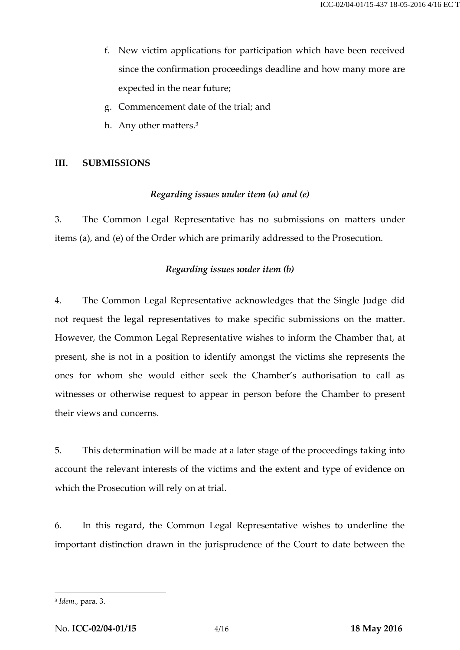- f. New victim applications for participation which have been received since the confirmation proceedings deadline and how many more are expected in the near future;
- g. Commencement date of the trial; and
- h. Any other matters.<sup>3</sup>

#### **III. SUBMISSIONS**

#### *Regarding issues under item (a) and (e)*

3. The Common Legal Representative has no submissions on matters under items (a), and (e) of the Order which are primarily addressed to the Prosecution.

#### *Regarding issues under item (b)*

4. The Common Legal Representative acknowledges that the Single Judge did not request the legal representatives to make specific submissions on the matter. However, the Common Legal Representative wishes to inform the Chamber that, at present, she is not in a position to identify amongst the victims she represents the ones for whom she would either seek the Chamber's authorisation to call as witnesses or otherwise request to appear in person before the Chamber to present their views and concerns.

5. This determination will be made at a later stage of the proceedings taking into account the relevant interests of the victims and the extent and type of evidence on which the Prosecution will rely on at trial.

6. In this regard, the Common Legal Representative wishes to underline the important distinction drawn in the jurisprudence of the Court to date between the

<sup>3</sup> *Idem.,* para. 3.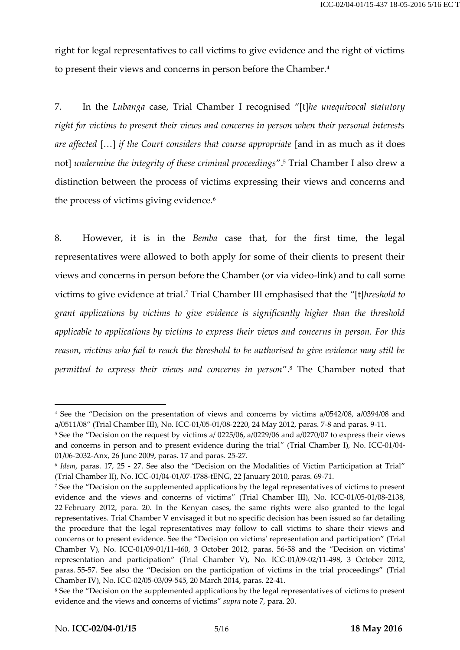right for legal representatives to call victims to give evidence and the right of victims to present their views and concerns in person before the Chamber.<sup>4</sup>

7. In the *Lubanga* case, Trial Chamber I recognised "[t]*he unequivocal statutory right for victims to present their views and concerns in person when their personal interests are affected* […] *if the Court considers that course appropriate* [and in as much as it does not] *undermine the integrity of these criminal proceedings*".<sup>5</sup> Trial Chamber I also drew a distinction between the process of victims expressing their views and concerns and the process of victims giving evidence*.*<sup>6</sup>

8. However, it is in the *Bemba* case that, for the first time, the legal representatives were allowed to both apply for some of their clients to present their views and concerns in person before the Chamber (or via video-link) and to call some victims to give evidence at trial.<sup>7</sup> Trial Chamber III emphasised that the "[t]*hreshold to grant applications by victims to give evidence is significantly higher than the threshold applicable to applications by victims to express their views and concerns in person. For this reason, victims who fail to reach the threshold to be authorised to give evidence may still be permitted to express their views and concerns in person*".<sup>8</sup> The Chamber noted that

<sup>4</sup> See the "Decision on the presentation of views and concerns by victims a/0542/08, a/0394/08 and a/0511/08" (Trial Chamber III), No. ICC-01/05-01/08-2220, 24 May 2012, paras. 7-8 and paras. 9-11.

<sup>5</sup> See the "Decision on the request by victims a/ 0225/06, a/0229/06 and a/0270/07 to express their views and concerns in person and to present evidence during the trial" (Trial Chamber I), No. ICC-01/04- 01/06-2032-Anx, 26 June 2009, paras. 17 and paras. 25-27.

<sup>6</sup> *Idem*, paras. 17, 25 - 27. See also the "Decision on the Modalities of Victim Participation at Trial" (Trial Chamber II), No. ICC-01/04-01/07-1788-tENG, 22 January 2010, paras. 69-71.

<sup>7</sup> See the "Decision on the supplemented applications by the legal representatives of victims to present evidence and the views and concerns of victims" (Trial Chamber III), No. ICC-01/05-01/08-2138, 22 February 2012, para. 20. In the Kenyan cases, the same rights were also granted to the legal representatives. Trial Chamber V envisaged it but no specific decision has been issued so far detailing the procedure that the legal representatives may follow to call victims to share their views and concerns or to present evidence. See the "Decision on victims' representation and participation" (Trial Chamber V), No. ICC-01/09-01/11-460, 3 October 2012, paras. 56-58 and the "Decision on victims' representation and participation" (Trial Chamber V), No. ICC-01/09-02/11-498, 3 October 2012, paras. 55-57. See also the "Decision on the participation of victims in the trial proceedings" (Trial Chamber IV), No. ICC-02/05-03/09-545, 20 March 2014, paras. 22-41.

<sup>8</sup> See the "Decision on the supplemented applications by the legal representatives of victims to present evidence and the views and concerns of victims" *supra* note 7, para. 20.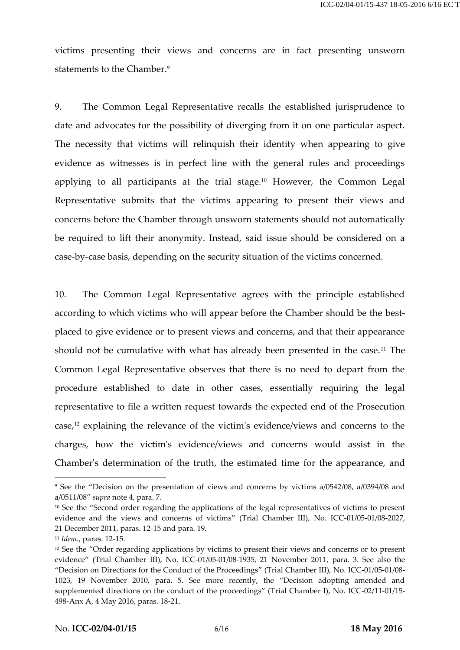victims presenting their views and concerns are in fact presenting unsworn statements to the Chamber.<sup>9</sup>

9. The Common Legal Representative recalls the established jurisprudence to date and advocates for the possibility of diverging from it on one particular aspect. The necessity that victims will relinquish their identity when appearing to give evidence as witnesses is in perfect line with the general rules and proceedings applying to all participants at the trial stage.<sup>10</sup> However, the Common Legal Representative submits that the victims appearing to present their views and concerns before the Chamber through unsworn statements should not automatically be required to lift their anonymity. Instead, said issue should be considered on a case-by-case basis, depending on the security situation of the victims concerned.

10. The Common Legal Representative agrees with the principle established according to which victims who will appear before the Chamber should be the best placed to give evidence or to present views and concerns, and that their appearance should not be cumulative with what has already been presented in the case.<sup>11</sup> The Common Legal Representative observes that there is no need to depart from the procedure established to date in other cases, essentially requiring the legal representative to file a written request towards the expected end of the Prosecution case,<sup>12</sup> explaining the relevance of the victim's evidence/views and concerns to the charges, how the victim's evidence/views and concerns would assist in the Chamber's determination of the truth, the estimated time for the appearance, and

<sup>9</sup> See the "Decision on the presentation of views and concerns by victims a/0542/08, a/0394/08 and a/0511/08" *supra* note 4, para. 7.

<sup>&</sup>lt;sup>10</sup> See the "Second order regarding the applications of the legal representatives of victims to present evidence and the views and concerns of victims" (Trial Chamber III), No. ICC-01/05-01/08-2027, 21 December 2011, paras. 12-15 and para. 19.

<sup>11</sup> *Idem.*, paras. 12-15.

<sup>&</sup>lt;sup>12</sup> See the "Order regarding applications by victims to present their views and concerns or to present evidence" (Trial Chamber III), No. ICC-01/05-01/08-1935, 21 November 2011, para. 3. See also the "Decision on Directions for the Conduct of the Proceedings" (Trial Chamber III), No. ICC-01/05-01/08- 1023, 19 November 2010, para. 5. See more recently, the "Decision adopting amended and supplemented directions on the conduct of the proceedings" (Trial Chamber I), No. ICC-02/11-01/15- 498-Anx A, 4 May 2016, paras. 18-21.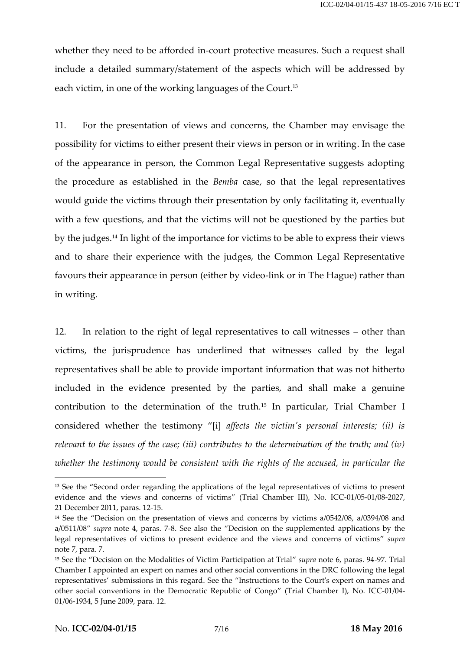whether they need to be afforded in-court protective measures. Such a request shall include a detailed summary/statement of the aspects which will be addressed by each victim, in one of the working languages of the Court.<sup>13</sup>

11. For the presentation of views and concerns, the Chamber may envisage the possibility for victims to either present their views in person or in writing. In the case of the appearance in person, the Common Legal Representative suggests adopting the procedure as established in the *Bemba* case, so that the legal representatives would guide the victims through their presentation by only facilitating it, eventually with a few questions, and that the victims will not be questioned by the parties but by the judges.<sup>14</sup> In light of the importance for victims to be able to express their views and to share their experience with the judges, the Common Legal Representative favours their appearance in person (either by video-link or in The Hague) rather than in writing.

12. In relation to the right of legal representatives to call witnesses – other than victims, the jurisprudence has underlined that witnesses called by the legal representatives shall be able to provide important information that was not hitherto included in the evidence presented by the parties, and shall make a genuine contribution to the determination of the truth.<sup>15</sup> In particular, Trial Chamber I considered whether the testimony "[i] *affects the victim's personal interests; (ii) is relevant to the issues of the case; (iii) contributes to the determination of the truth; and (iv) whether the testimony would be consistent with the rights of the accused, in particular the*

<sup>&</sup>lt;sup>13</sup> See the "Second order regarding the applications of the legal representatives of victims to present evidence and the views and concerns of victims" (Trial Chamber III), No. ICC-01/05-01/08-2027, 21 December 2011, paras. 12-15.

<sup>&</sup>lt;sup>14</sup> See the "Decision on the presentation of views and concerns by victims a/0542/08, a/0394/08 and a/0511/08" *supra* note 4, paras. 7-8. See also the "Decision on the supplemented applications by the legal representatives of victims to present evidence and the views and concerns of victims" *supra* note 7, para. 7.

<sup>15</sup> See the "Decision on the Modalities of Victim Participation at Trial" *supra* note 6, paras. 94-97. Trial Chamber I appointed an expert on names and other social conventions in the DRC following the legal representatives' submissions in this regard. See the "Instructions to the Court's expert on names and other social conventions in the Democratic Republic of Congo" (Trial Chamber I), No. ICC-01/04- 01/06-1934, 5 June 2009, para. 12.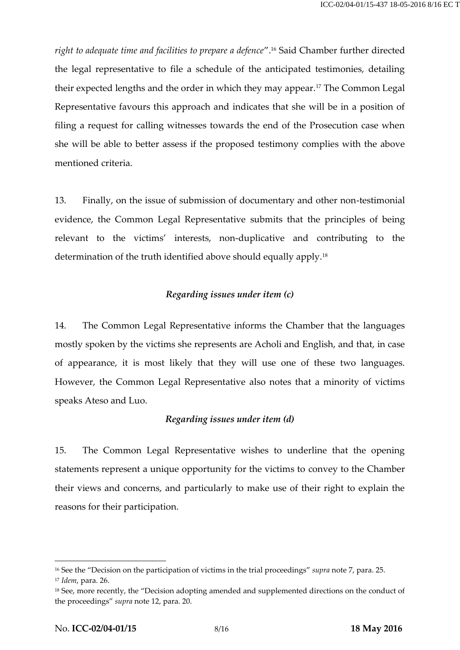*right to adequate time and facilities to prepare a defence*".<sup>16</sup> Said Chamber further directed the legal representative to file a schedule of the anticipated testimonies, detailing their expected lengths and the order in which they may appear.<sup>17</sup> The Common Legal Representative favours this approach and indicates that she will be in a position of filing a request for calling witnesses towards the end of the Prosecution case when she will be able to better assess if the proposed testimony complies with the above mentioned criteria.

13. Finally, on the issue of submission of documentary and other non-testimonial evidence, the Common Legal Representative submits that the principles of being relevant to the victims' interests, non-duplicative and contributing to the determination of the truth identified above should equally apply.<sup>18</sup>

# *Regarding issues under item (c)*

14. The Common Legal Representative informs the Chamber that the languages mostly spoken by the victims she represents are Acholi and English, and that, in case of appearance, it is most likely that they will use one of these two languages. However, the Common Legal Representative also notes that a minority of victims speaks Ateso and Luo.

## *Regarding issues under item (d)*

15. The Common Legal Representative wishes to underline that the opening statements represent a unique opportunity for the victims to convey to the Chamber their views and concerns, and particularly to make use of their right to explain the reasons for their participation.

<sup>16</sup> See the "Decision on the participation of victims in the trial proceedings" *supra* note 7, para. 25.

<sup>17</sup> *Idem*, para. 26.

<sup>&</sup>lt;sup>18</sup> See, more recently, the "Decision adopting amended and supplemented directions on the conduct of the proceedings" *supra* note 12, para. 20.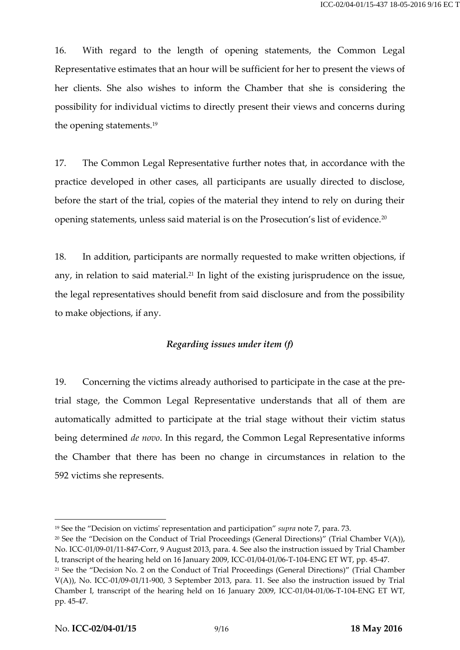16. With regard to the length of opening statements, the Common Legal Representative estimates that an hour will be sufficient for her to present the views of her clients. She also wishes to inform the Chamber that she is considering the possibility for individual victims to directly present their views and concerns during the opening statements.<sup>19</sup>

17. The Common Legal Representative further notes that, in accordance with the practice developed in other cases, all participants are usually directed to disclose, before the start of the trial, copies of the material they intend to rely on during their opening statements, unless said material is on the Prosecution's list of evidence.<sup>20</sup>

18. In addition, participants are normally requested to make written objections, if any, in relation to said material.<sup>21</sup> In light of the existing jurisprudence on the issue, the legal representatives should benefit from said disclosure and from the possibility to make objections, if any.

# *Regarding issues under item (f)*

19. Concerning the victims already authorised to participate in the case at the pretrial stage, the Common Legal Representative understands that all of them are automatically admitted to participate at the trial stage without their victim status being determined *de novo*. In this regard, the Common Legal Representative informs the Chamber that there has been no change in circumstances in relation to the 592 victims she represents.

<sup>19</sup> See the "Decision on victims' representation and participation" *supra* note 7, para. 73.

<sup>&</sup>lt;sup>20</sup> See the "Decision on the Conduct of Trial Proceedings (General Directions)" (Trial Chamber V(A)), No. ICC-01/09-01/11-847-Corr, 9 August 2013, para. 4. See also the instruction issued by Trial Chamber I, transcript of the hearing held on 16 January 2009, ICC-01/04-01/06-T-104-ENG ET WT, pp. 45-47.

<sup>&</sup>lt;sup>21</sup> See the "Decision No. 2 on the Conduct of Trial Proceedings (General Directions)" (Trial Chamber V(A)), No. ICC-01/09-01/11-900, 3 September 2013, para. 11. See also the instruction issued by Trial Chamber I, transcript of the hearing held on 16 January 2009, ICC-01/04-01/06-T-104-ENG ET WT, pp. 45-47.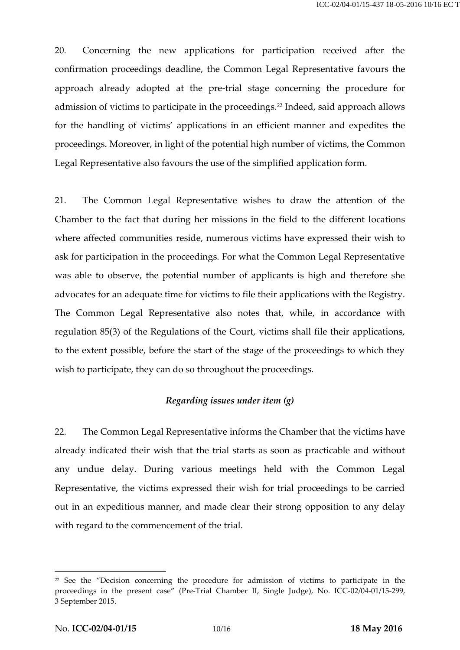20. Concerning the new applications for participation received after the confirmation proceedings deadline, the Common Legal Representative favours the approach already adopted at the pre-trial stage concerning the procedure for admission of victims to participate in the proceedings.<sup>22</sup> Indeed, said approach allows for the handling of victims' applications in an efficient manner and expedites the proceedings. Moreover, in light of the potential high number of victims, the Common Legal Representative also favours the use of the simplified application form.

21. The Common Legal Representative wishes to draw the attention of the Chamber to the fact that during her missions in the field to the different locations where affected communities reside, numerous victims have expressed their wish to ask for participation in the proceedings. For what the Common Legal Representative was able to observe, the potential number of applicants is high and therefore she advocates for an adequate time for victims to file their applications with the Registry. The Common Legal Representative also notes that, while, in accordance with regulation 85(3) of the Regulations of the Court, victims shall file their applications, to the extent possible, before the start of the stage of the proceedings to which they wish to participate, they can do so throughout the proceedings.

## *Regarding issues under item (g)*

22. The Common Legal Representative informs the Chamber that the victims have already indicated their wish that the trial starts as soon as practicable and without any undue delay. During various meetings held with the Common Legal Representative, the victims expressed their wish for trial proceedings to be carried out in an expeditious manner, and made clear their strong opposition to any delay with regard to the commencement of the trial.

<sup>&</sup>lt;sup>22</sup> See the "Decision concerning the procedure for admission of victims to participate in the proceedings in the present case" (Pre-Trial Chamber II, Single Judge), No. ICC-02/04-01/15-299, 3 September 2015.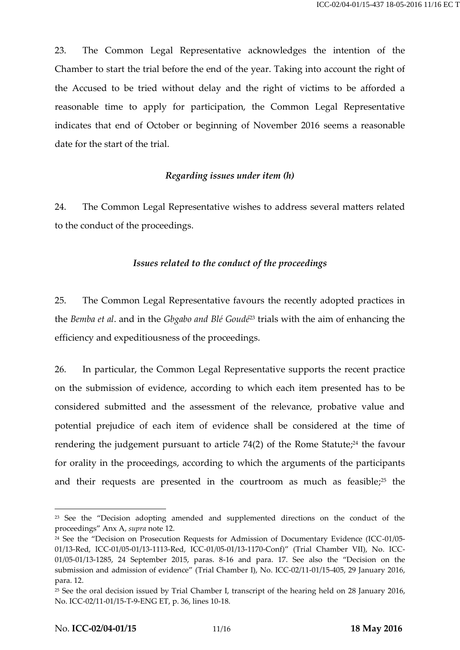23. The Common Legal Representative acknowledges the intention of the Chamber to start the trial before the end of the year. Taking into account the right of the Accused to be tried without delay and the right of victims to be afforded a reasonable time to apply for participation, the Common Legal Representative indicates that end of October or beginning of November 2016 seems a reasonable date for the start of the trial.

## *Regarding issues under item (h)*

24. The Common Legal Representative wishes to address several matters related to the conduct of the proceedings.

# *Issues related to the conduct of the proceedings*

25. The Common Legal Representative favours the recently adopted practices in the *Bemba et al*. and in the *Gbgabo and Blé Goudé*<sup>23</sup> trials with the aim of enhancing the efficiency and expeditiousness of the proceedings.

26. In particular, the Common Legal Representative supports the recent practice on the submission of evidence, according to which each item presented has to be considered submitted and the assessment of the relevance, probative value and potential prejudice of each item of evidence shall be considered at the time of rendering the judgement pursuant to article  $74(2)$  of the Rome Statute;<sup>24</sup> the favour for orality in the proceedings, according to which the arguments of the participants and their requests are presented in the courtroom as much as feasible;<sup>25</sup> the

<sup>&</sup>lt;sup>23</sup> See the "Decision adopting amended and supplemented directions on the conduct of the proceedings" Anx A, *supra* note 12.

<sup>&</sup>lt;sup>24</sup> See the "Decision on Prosecution Requests for Admission of Documentary Evidence (ICC-01/05-01/13-Red, ICC-01/05-01/13-1113-Red, ICC-01/05-01/13-1170-Conf)" (Trial Chamber VII), No. ICC- 01/05-01/13-1285, 24 September 2015, paras. 8-16 and para. 17. See also the "Decision on the submission and admission of evidence" (Trial Chamber I), No. ICC-02/11-01/15-405, 29 January 2016, para. 12.

<sup>&</sup>lt;sup>25</sup> See the oral decision issued by Trial Chamber I, transcript of the hearing held on 28 January 2016, No. ICC-02/11-01/15-T-9-ENG ET, p. 36, lines 10-18.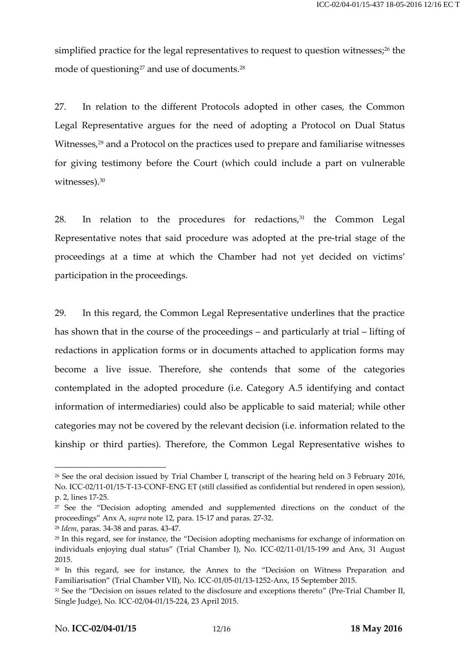simplified practice for the legal representatives to request to question witnesses;<sup>26</sup> the mode of questioning<sup>27</sup> and use of documents.<sup>28</sup>

27. In relation to the different Protocols adopted in other cases, the Common Legal Representative argues for the need of adopting a Protocol on Dual Status Witnesses,<sup>29</sup> and a Protocol on the practices used to prepare and familiarise witnesses for giving testimony before the Court (which could include a part on vulnerable witnesses).<sup>30</sup>

28. In relation to the procedures for redactions,<sup>31</sup> the Common Legal Representative notes that said procedure was adopted at the pre-trial stage of the proceedings at a time at which the Chamber had not yet decided on victims' participation in the proceedings.

29. In this regard, the Common Legal Representative underlines that the practice has shown that in the course of the proceedings – and particularly at trial – lifting of redactions in application forms or in documents attached to application forms may become a live issue. Therefore, she contends that some of the categories contemplated in the adopted procedure (i.e. Category A.5 identifying and contact information of intermediaries) could also be applicable to said material; while other categories may not be covered by the relevant decision (i.e. information related to the kinship or third parties). Therefore, the Common Legal Representative wishes to

<sup>&</sup>lt;sup>26</sup> See the oral decision issued by Trial Chamber I, transcript of the hearing held on 3 February 2016, No. ICC-02/11-01/15-T-13-CONF-ENG ET (still classified as confidential but rendered in open session), p. 2, lines 17-25.

<sup>&</sup>lt;sup>27</sup> See the "Decision adopting amended and supplemented directions on the conduct of the proceedings" Anx A, *supra* note 12, para. 15-17 and paras. 27-32.

<sup>28</sup> *Idem*, paras. 34-38 and paras. 43-47.

<sup>&</sup>lt;sup>29</sup> In this regard, see for instance, the "Decision adopting mechanisms for exchange of information on individuals enjoying dual status" (Trial Chamber I), No. ICC-02/11-01/15-199 and Anx, 31 August 2015.

<sup>&</sup>lt;sup>30</sup> In this regard, see for instance, the Annex to the "Decision on Witness Preparation and Familiarisation" (Trial Chamber VII), No. ICC-01/05-01/13-1252-Anx, 15 September 2015.

<sup>&</sup>lt;sup>31</sup> See the "Decision on issues related to the disclosure and exceptions thereto" (Pre-Trial Chamber II, Single Judge), No. ICC-02/04-01/15-224, 23 April 2015.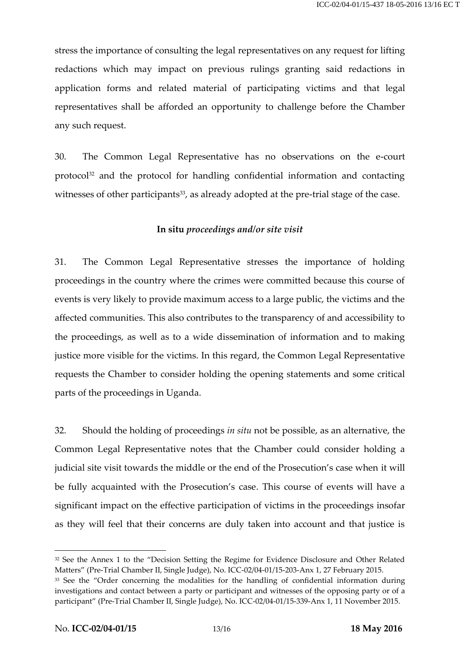stress the importance of consulting the legal representatives on any request for lifting redactions which may impact on previous rulings granting said redactions in application forms and related material of participating victims and that legal representatives shall be afforded an opportunity to challenge before the Chamber any such request.

30. The Common Legal Representative has no observations on the e-court protocol<sup>32</sup> and the protocol for handling confidential information and contacting witnesses of other participants<sup>33</sup>, as already adopted at the pre-trial stage of the case.

## **In situ** *proceedings and/or site visit*

31. The Common Legal Representative stresses the importance of holding proceedings in the country where the crimes were committed because this course of events is very likely to provide maximum access to a large public, the victims and the affected communities. This also contributes to the transparency of and accessibility to the proceedings, as well as to a wide dissemination of information and to making justice more visible for the victims. In this regard, the Common Legal Representative requests the Chamber to consider holding the opening statements and some critical parts of the proceedings in Uganda.

32. Should the holding of proceedings *in situ* not be possible, as an alternative, the Common Legal Representative notes that the Chamber could consider holding a judicial site visit towards the middle or the end of the Prosecution's case when it will be fully acquainted with the Prosecution's case. This course of events will have a significant impact on the effective participation of victims in the proceedings insofar as they will feel that their concerns are duly taken into account and that justice is

<sup>&</sup>lt;sup>32</sup> See the Annex 1 to the "Decision Setting the Regime for Evidence Disclosure and Other Related Matters" (Pre-Trial Chamber II, Single Judge), No. ICC-02/04-01/15-203-Anx 1, 27 February 2015.

<sup>&</sup>lt;sup>33</sup> See the "Order concerning the modalities for the handling of confidential information during investigations and contact between a party or participant and witnesses of the opposing party or of a participant" (Pre-Trial Chamber II, Single Judge), No. ICC-02/04-01/15-339-Anx 1, 11 November 2015.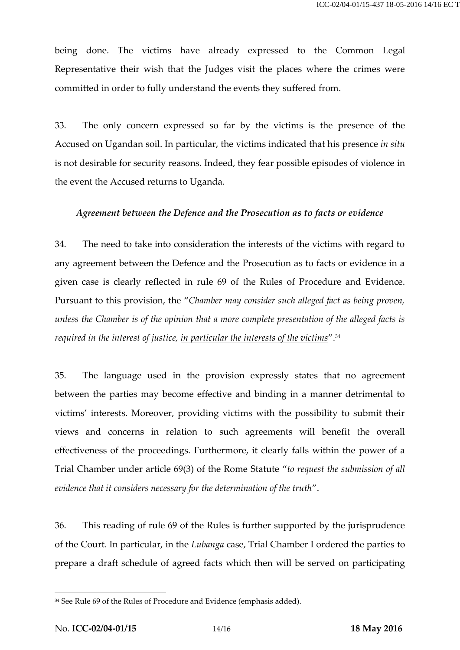being done. The victims have already expressed to the Common Legal Representative their wish that the Judges visit the places where the crimes were committed in order to fully understand the events they suffered from.

33. The only concern expressed so far by the victims is the presence of the Accused on Ugandan soil. In particular, the victims indicated that his presence *in situ* is not desirable for security reasons. Indeed, they fear possible episodes of violence in the event the Accused returns to Uganda.

#### *Agreement between the Defence and the Prosecution as to facts or evidence*

34. The need to take into consideration the interests of the victims with regard to any agreement between the Defence and the Prosecution as to facts or evidence in a given case is clearly reflected in rule 69 of the Rules of Procedure and Evidence. Pursuant to this provision, the "*Chamber may consider such alleged fact as being proven, unless the Chamber is of the opinion that a more complete presentation of the alleged facts is required in the interest of justice, in particular the interests of the victims*".<sup>34</sup>

35. The language used in the provision expressly states that no agreement between the parties may become effective and binding in a manner detrimental to victims' interests. Moreover, providing victims with the possibility to submit their views and concerns in relation to such agreements will benefit the overall effectiveness of the proceedings. Furthermore, it clearly falls within the power of a Trial Chamber under article 69(3) of the Rome Statute "*to request the submission of all evidence that it considers necessary for the determination of the truth*".

36. This reading of rule 69 of the Rules is further supported by the jurisprudence of the Court. In particular, in the *Lubanga* case, Trial Chamber I ordered the parties to prepare a draft schedule of agreed facts which then will be served on participating

<sup>&</sup>lt;sup>34</sup> See Rule 69 of the Rules of Procedure and Evidence (emphasis added).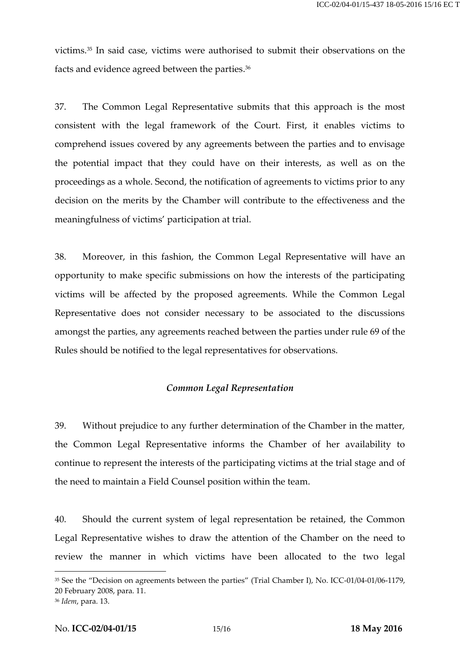victims.<sup>35</sup> In said case, victims were authorised to submit their observations on the facts and evidence agreed between the parties.<sup>36</sup>

37. The Common Legal Representative submits that this approach is the most consistent with the legal framework of the Court. First, it enables victims to comprehend issues covered by any agreements between the parties and to envisage the potential impact that they could have on their interests, as well as on the proceedings as a whole. Second, the notification of agreements to victims prior to any decision on the merits by the Chamber will contribute to the effectiveness and the meaningfulness of victims' participation at trial.

38. Moreover, in this fashion, the Common Legal Representative will have an opportunity to make specific submissions on how the interests of the participating victims will be affected by the proposed agreements. While the Common Legal Representative does not consider necessary to be associated to the discussions amongst the parties, any agreements reached between the parties under rule 69 of the Rules should be notified to the legal representatives for observations.

#### *Common Legal Representation*

39. Without prejudice to any further determination of the Chamber in the matter, the Common Legal Representative informs the Chamber of her availability to continue to represent the interests of the participating victims at the trial stage and of the need to maintain a Field Counsel position within the team.

40. Should the current system of legal representation be retained, the Common Legal Representative wishes to draw the attention of the Chamber on the need to review the manner in which victims have been allocated to the two legal

<sup>&</sup>lt;sup>35</sup> See the "Decision on agreements between the parties" (Trial Chamber I), No. ICC-01/04-01/06-1179, 20 February 2008, para. 11.

<sup>36</sup> *Idem*, para. 13.